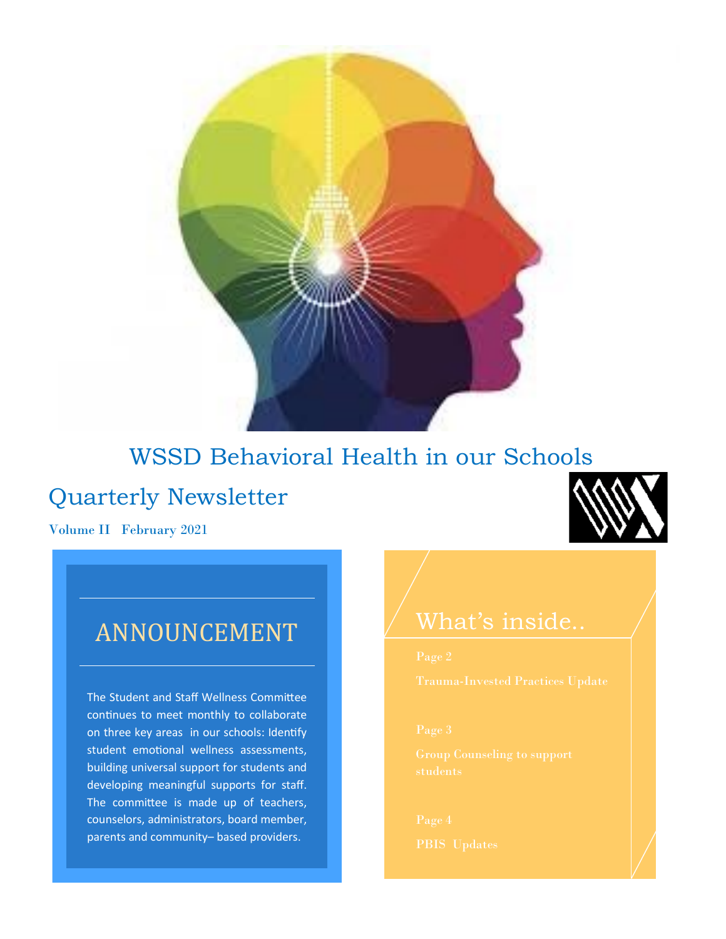

# WSSD Behavioral Health in our Schools

## Quarterly Newsletter

Volume II February 2021



# ANNOUNCEMENT What's inside...

The Student and Staff Wellness Committee continues to meet monthly to collaborate on three key areas in our schools: Identify student emotional wellness assessments, building universal support for students and developing meaningful supports for staff. The committee is made up of teachers, counselors, administrators, board member, parents and community– based providers.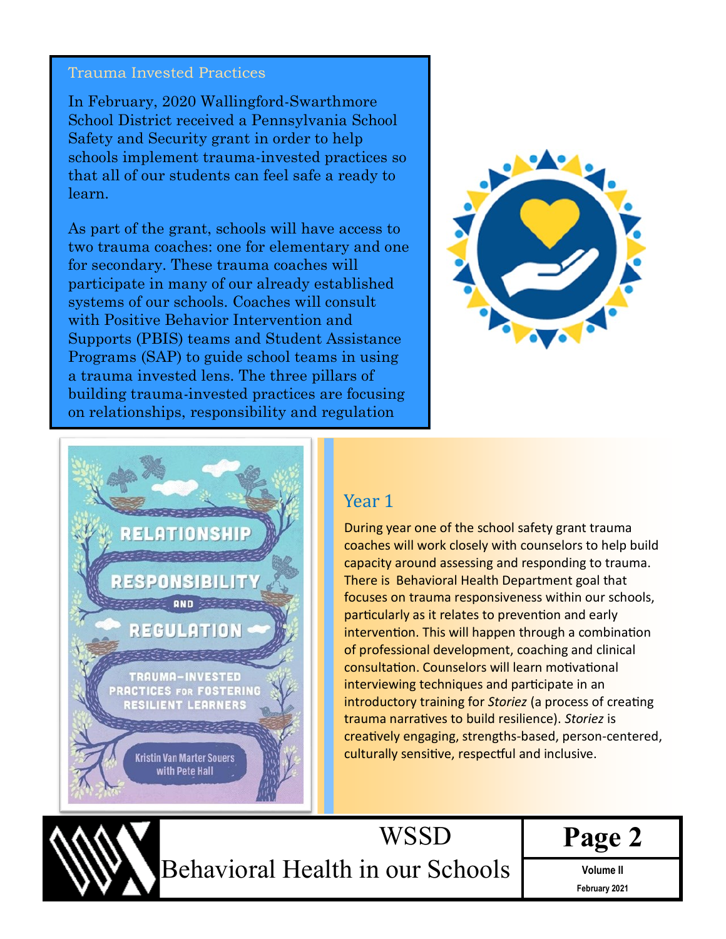#### Trauma Invested Practices

In February, 2020 Wallingford-Swarthmore School District received a Pennsylvania School Safety and Security grant in order to help schools implement trauma-invested practices so that all of our students can feel safe a ready to learn.

As part of the grant, schools will have access to two trauma coaches: one for elementary and one for secondary. These trauma coaches will participate in many of our already established systems of our schools. Coaches will consult with Positive Behavior Intervention and Supports (PBIS) teams and Student Assistance Programs (SAP) to guide school teams in using a trauma invested lens. The three pillars of building trauma-invested practices are focusing on relationships, responsibility and regulation





### Year 1

During year one of the school safety grant trauma coaches will work closely with counselors to help build capacity around assessing and responding to trauma. There is Behavioral Health Department goal that focuses on trauma responsiveness within our schools, particularly as it relates to prevention and early intervention. This will happen through a combination of professional development, coaching and clinical consultation. Counselors will learn motivational interviewing techniques and participate in an introductory training for *Storiez* (a process of creating trauma narratives to build resilience). *Storiez* is creatively engaging, strengths-based, person-centered, culturally sensitive, respectful and inclusive.

Behavioral Health in our Schools **Volume II** 

**WSSD** 

**Page 2**

**February 2021**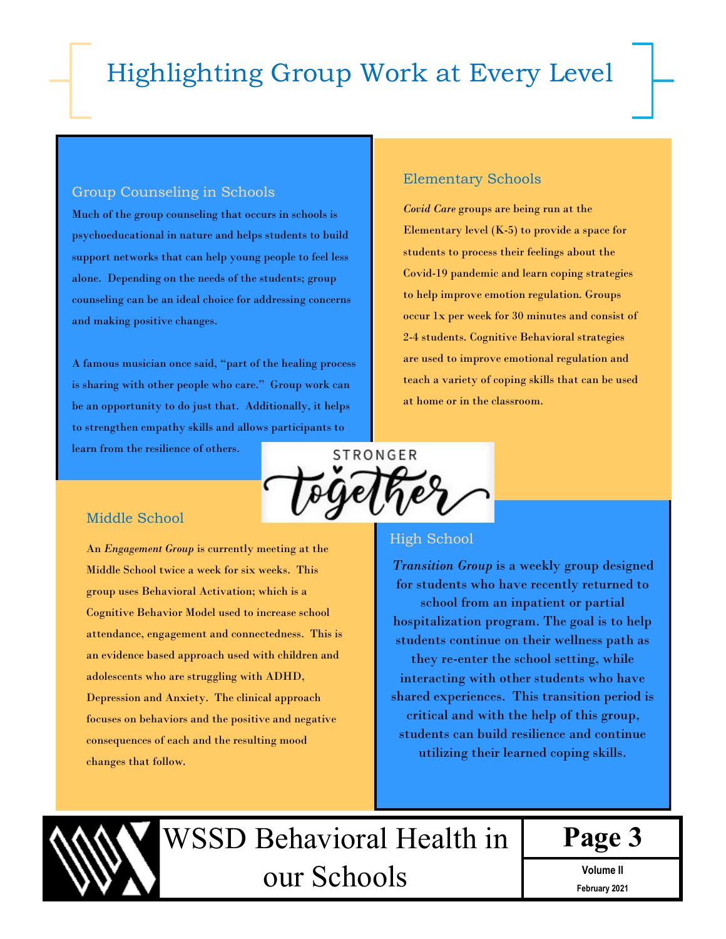# Highlighting Group Work at Every Level

#### Group Counseling in Schools

Much of the group counseling that occurs in schools is psychoeducational in nature and helps students to build support networks that can help young people to feel less alone. Depending on the needs of the students; group counseling can be an ideal choice for addressing concerns and making positive changes.

A famous musician once said, "part of the healing process is sharing with other people who care." Group work can be an opportunity to do just that. Additionally, it helps to strengthen empathy skills and allows participants to

#### learn from the resilience of others.

#### Elementary Schools

*Covid Care* groups are being run at the Elementary level (K-5) to provide a space for students to process their feelings about the Covid-19 pandemic and learn coping strategies to help improve emotion regulation. Groups occur 1x per week for 30 minutes and consist of 2-4 students. Cognitive Behavioral strategies are used to improve emotional regulation and teach a variety of coping skills that can be used at home or in the classroom.



### Middle School

An *Engagement Group* is currently meeting at the Middle School twice a week for six weeks. This group uses Behavioral Activation; which is a Cognitive Behavior Model used to increase school attendance, engagement and connectedness. This is an evidence based approach used with children and adolescents who are struggling with ADHD, Depression and Anxiety. The clinical approach focuses on behaviors and the positive and negative consequences of each and the resulting mood changes that follow.

#### High School

*Transition Group* is a weekly group designed for students who have recently returned to school from an inpatient or partial hospitalization program. The goal is to help students continue on their wellness path as they re-enter the school setting, while interacting with other students who have shared experiences. This transition period is critical and with the help of this group, students can build resilience and continue utilizing their learned coping skills.



WSSD Behavioral Health in our Schools **Volume II** 

**Page 3**

**February 2021**